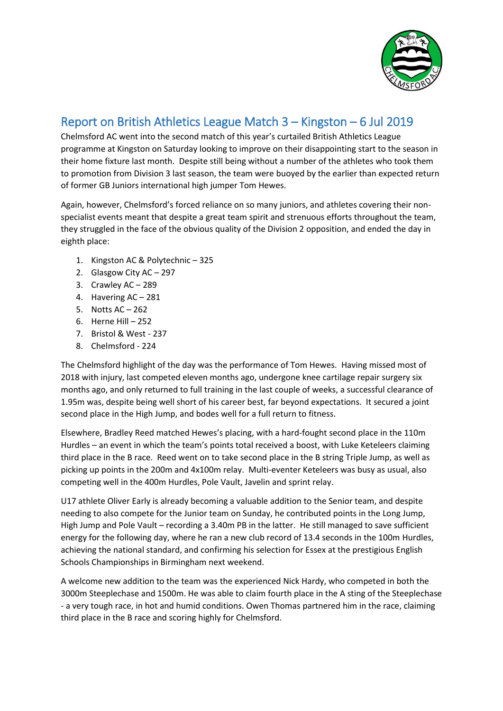

## Report on British Athletics League Match 3 – Kingston – 6 Jul 2019

Chelmsford AC went into the second match of this year's curtailed British Athletics League programme at Kingston on Saturday looking to improve on their disappointing start to the season in their home fixture last month. Despite still being without a number of the athletes who took them to promotion from Division 3 last season, the team were buoyed by the earlier than expected return of former GB Juniors international high jumper Tom Hewes.

Again, however, Chelmsford's forced reliance on so many juniors, and athletes covering their nonspecialist events meant that despite a great team spirit and strenuous efforts throughout the team, they struggled in the face of the obvious quality of the Division 2 opposition, and ended the day in eighth place:

- 1. Kingston AC & Polytechnic 325
- 2. Glasgow City AC 297
- 3. Crawley AC 289
- 4. Havering AC 281
- 5. Notts AC 262
- 6. Herne Hill 252
- 7. Bristol & West 237
- 8. Chelmsford 224

The Chelmsford highlight of the day was the performance of Tom Hewes. Having missed most of 2018 with injury, last competed eleven months ago, undergone knee cartilage repair surgery six months ago, and only returned to full training in the last couple of weeks, a successful clearance of 1.95m was, despite being well short of his career best, far beyond expectations. It secured a joint second place in the High Jump, and bodes well for a full return to fitness.

Elsewhere, Bradley Reed matched Hewes's placing, with a hard-fought second place in the 110m Hurdles – an event in which the team's points total received a boost, with Luke Keteleers claiming third place in the B race. Reed went on to take second place in the B string Triple Jump, as well as picking up points in the 200m and 4x100m relay. Multi-eventer Keteleers was busy as usual, also competing well in the 400m Hurdles, Pole Vault, Javelin and sprint relay.

U17 athlete Oliver Early is already becoming a valuable addition to the Senior team, and despite needing to also compete for the Junior team on Sunday, he contributed points in the Long Jump, High Jump and Pole Vault – recording a 3.40m PB in the latter. He still managed to save sufficient energy for the following day, where he ran a new club record of 13.4 seconds in the 100m Hurdles, achieving the national standard, and confirming his selection for Essex at the prestigious English Schools Championships in Birmingham next weekend.

A welcome new addition to the team was the experienced Nick Hardy, who competed in both the 3000m Steeplechase and 1500m. He was able to claim fourth place in the A sting of the Steeplechase - a very tough race, in hot and humid conditions. Owen Thomas partnered him in the race, claiming third place in the B race and scoring highly for Chelmsford.